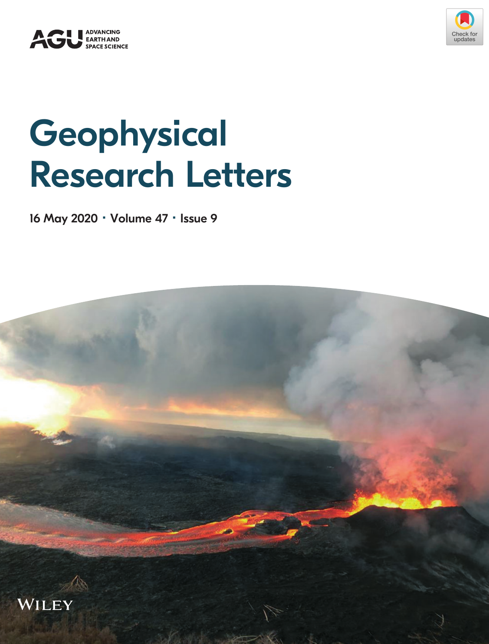



## **Geophysical** Research Letters

16 May 2020 · Volume 47 · Issue 9